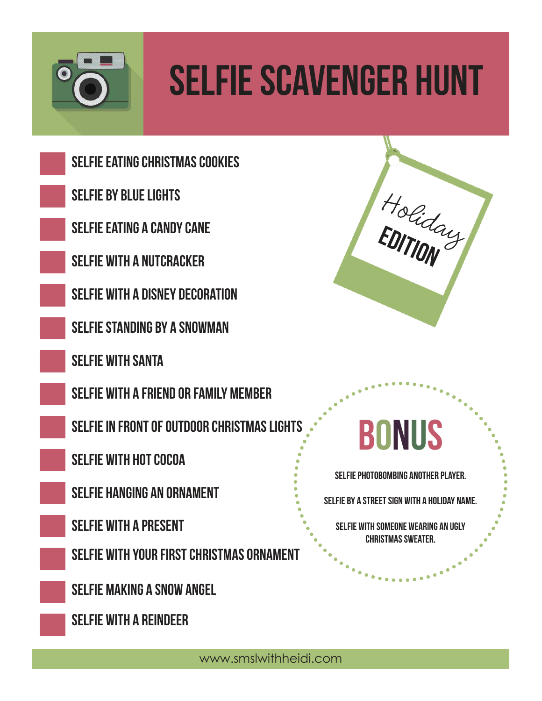

# Selfie Scavenger Hunt

Selfie eating Christmas cookies

selfie by blue lights

selfie eating a candy cane

selfie with a nutcracker

selfie with a Disney Decoration

selfie standing by a Snowman

Selfie with Santa

selfie with a friend or family member

SELFIE IN FRONT OF OUTDOOR CHRISTMAS LIGHT

selfie with hot cocoa

selfie hanging an ornament

selfie with a present

Selfie with your first Christmas ornament

selfie making a snow angel

selfie with a reindeer



#### Bonus

selfie photobombing another player.

selfie by a street sign with a holiday name.

selfie with someone wearing an ugly Christmas sweater.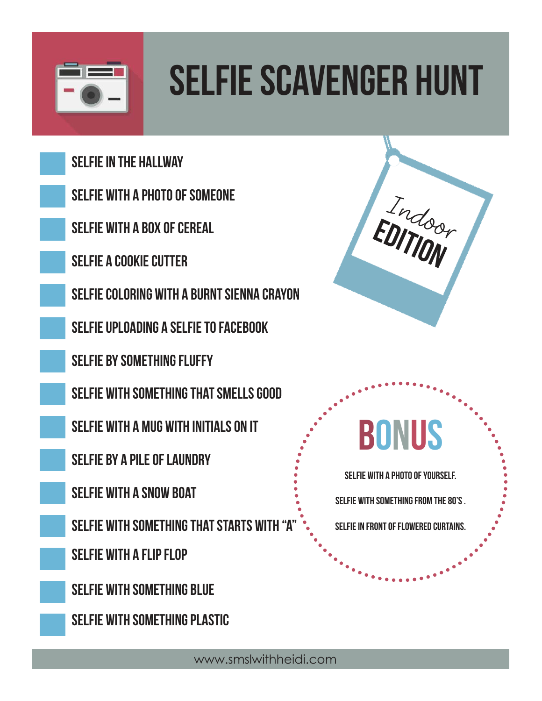

# Selfie Scavenger Hunt

Indoor Selfie in the hallway selfie with a photo of someone selfie with a box of cereal selfie a cookie cutter selfie coloring with a burnt sienna crayon SELFIE UPLOADING A SELFIE TO FACEBOOK Selfie by something fluffy selfie with something that smells good selfie with a mug with initials on it selfie by a pile of laundry selfie with a snow boat SELFIE WITH SOMETHING THAT STARTS WITH "A selfie with a flip flop SELFIE WITH SOMETHING BLUE selfie with something plastic **BONUS** selfie with a photo of yourself. selfie with something from the 80's . selfie in front of flowered curtains. EDITION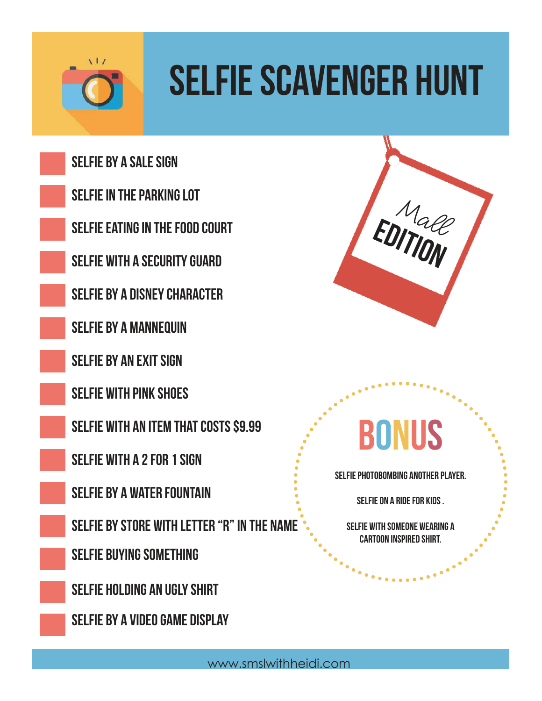

# Selfie Scavenger Hunt

Selfie by a sale sign

selfie in the parking lot

selfie eating in the food court

selfie with a security guard

selfie by a disney character

selfie by a mannequin

SELFIE BY AN EXIT SIGN

selfie with pink shoes

selfie with an item that costs \$9.99

selfie with a 2 for 1 sign

selfie by a water fountain

selfie by store with letter "R" in the name

Selfie buying something

SELFIE HOLDING AN UGLY SHIRT

selfie by a video game display



#### Bonus

selfie photobombing another player.

selfie on a ride for kids .

selfie with someone wearing a cartoon inspired shirt.

 $\bullet$